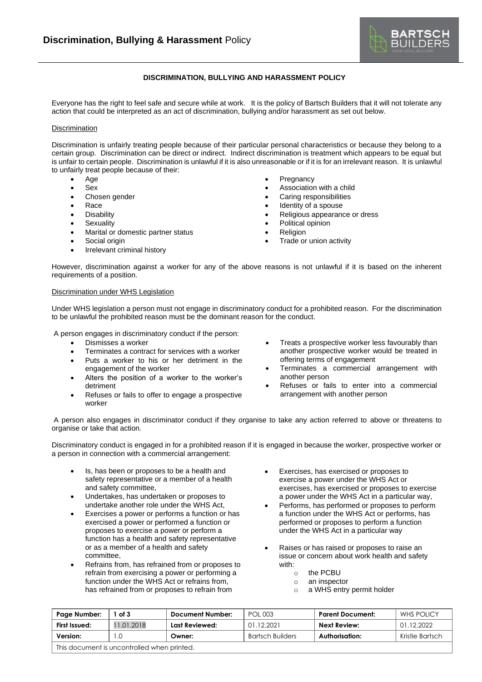

## **DISCRIMINATION, BULLYING AND HARASSMENT POLICY**

Everyone has the right to feel safe and secure while at work. It is the policy of Bartsch Builders that it will not tolerate any action that could be interpreted as an act of discrimination, bullying and/or harassment as set out below.

## **Discrimination**

Discrimination is unfairly treating people because of their particular personal characteristics or because they belong to a certain group. Discrimination can be direct or indirect. Indirect discrimination is treatment which appears to be equal but is unfair to certain people. Discrimination is unlawful if it is also unreasonable or if it is for an irrelevant reason. It is unlawful to unfairly treat people because of their:

- Age
- Sex
- Chosen gender
- Race
- Disability
- Sexuality
- Marital or domestic partner status
- Social origin
- Irrelevant criminal history
- **Pregnancy**
- Association with a child
- Caring responsibilities
- Identity of a spouse
- Religious appearance or dress
- Political opinion
- **Religion**
- Trade or union activity

However, discrimination against a worker for any of the above reasons is not unlawful if it is based on the inherent requirements of a position.

## Discrimination under WHS Legislation

Under WHS legislation a person must not engage in discriminatory conduct for a prohibited reason. For the discrimination to be unlawful the prohibited reason must be the dominant reason for the conduct.

A person engages in discriminatory conduct if the person:

- Dismisses a worker
- Terminates a contract for services with a worker
- Puts a worker to his or her detriment in the engagement of the worker
- Alters the position of a worker to the worker's detriment
- Refuses or fails to offer to engage a prospective worker
- Treats a prospective worker less favourably than another prospective worker would be treated in offering terms of engagement
- Terminates a commercial arrangement with another person
- Refuses or fails to enter into a commercial arrangement with another person

A person also engages in discriminator conduct if they organise to take any action referred to above or threatens to organise or take that action.

Discriminatory conduct is engaged in for a prohibited reason if it is engaged in because the worker, prospective worker or a person in connection with a commercial arrangement:

- Is, has been or proposes to be a health and safety representative or a member of a health and safety committee,
- Undertakes, has undertaken or proposes to undertake another role under the WHS Act,
- Exercises a power or performs a function or has exercised a power or performed a function or proposes to exercise a power or perform a function has a health and safety representative or as a member of a health and safety committee,
- Refrains from, has refrained from or proposes to refrain from exercising a power or performing a function under the WHS Act or refrains from, has refrained from or proposes to refrain from
- Exercises, has exercised or proposes to exercise a power under the WHS Act or exercises, has exercised or proposes to exercise a power under the WHS Act in a particular way,
- Performs, has performed or proposes to perform a function under the WHS Act or performs, has performed or proposes to perform a function under the WHS Act in a particular way
- Raises or has raised or proposes to raise an issue or concern about work health and safety with:
	- o the PCBU
	- o an inspector
	- o a WHS entry permit holder

| Page Number:                                | 1 of 3     | Document Number: | <b>POL 003</b>   | Parent Document: | WHS POLICY      |  |  |
|---------------------------------------------|------------|------------------|------------------|------------------|-----------------|--|--|
| First Issued:                               | 11.01.2018 | Last Reviewed:   | 01.12.2021       | Next Review:     | 01.12.2022      |  |  |
| Version:                                    | 1.C        | Owner:           | Bartsch Builders | Authorisation:   | Kristie Bartsch |  |  |
| This document is uncontrolled when printed. |            |                  |                  |                  |                 |  |  |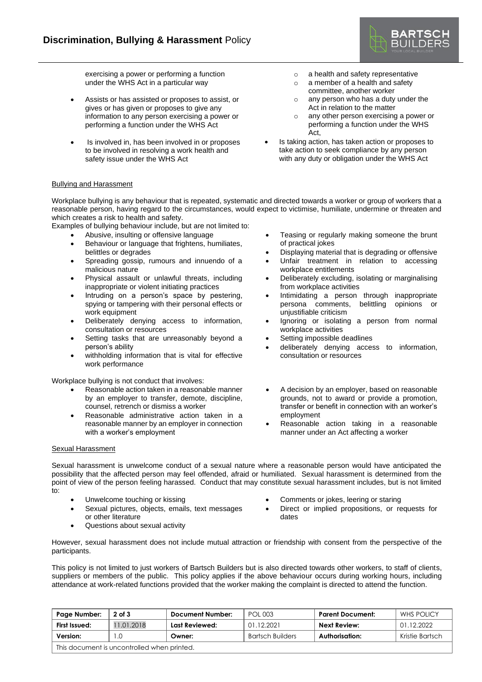

exercising a power or performing a function under the WHS Act in a particular way

- Assists or has assisted or proposes to assist, or gives or has given or proposes to give any information to any person exercising a power or performing a function under the WHS Act
- Is involved in, has been involved in or proposes to be involved in resolving a work health and safety issue under the WHS Act
- o a health and safety representative
- o a member of a health and safety committee, another worker
- o any person who has a duty under the Act in relation to the matter
- o any other person exercising a power or performing a function under the WHS Act,
- Is taking action, has taken action or proposes to take action to seek compliance by any person with any duty or obligation under the WHS Act

## Bullying and Harassment

Workplace bullying is any behaviour that is repeated, systematic and directed towards a worker or group of workers that a reasonable person, having regard to the circumstances, would expect to victimise, humiliate, undermine or threaten and which creates a risk to health and safety.

Examples of bullying behaviour include, but are not limited to:

- Abusive, insulting or offensive language
- Behaviour or language that frightens, humiliates, belittles or degrades
- Spreading gossip, rumours and innuendo of a malicious nature
- Physical assault or unlawful threats, including inappropriate or violent initiating practices
- Intruding on a person's space by pestering, spying or tampering with their personal effects or work equipment
- Deliberately denying access to information, consultation or resources
- Setting tasks that are unreasonably beyond a person's ability
- withholding information that is vital for effective work performance

Workplace bullying is not conduct that involves:

- Reasonable action taken in a reasonable manner by an employer to transfer, demote, discipline, counsel, retrench or dismiss a worker
- Reasonable administrative action taken in a reasonable manner by an employer in connection with a worker's employment
- Sexual Harassment

Teasing or regularly making someone the brunt of practical jokes

- Displaying material that is degrading or offensive
- Unfair treatment in relation to accessing workplace entitlements
- Deliberately excluding, isolating or marginalising from workplace activities
- Intimidating a person through inappropriate persona comments, belittling opinions or unjustifiable criticism
- Ignoring or isolating a person from normal workplace activities
- Setting impossible deadlines
- deliberately denying access to information, consultation or resources
- A decision by an employer, based on reasonable grounds, not to award or provide a promotion, transfer or benefit in connection with an worker's employment
- Reasonable action taking in a reasonable manner under an Act affecting a worker

Sexual harassment is unwelcome conduct of a sexual nature where a reasonable person would have anticipated the possibility that the affected person may feel offended, afraid or humiliated. Sexual harassment is determined from the point of view of the person feeling harassed. Conduct that may constitute sexual harassment includes, but is not limited to:

- Unwelcome touching or kissing
- Sexual pictures, objects, emails, text messages or other literature
- Questions about sexual activity
- Comments or jokes, leering or staring
- Direct or implied propositions, or requests for dates

However, sexual harassment does not include mutual attraction or friendship with consent from the perspective of the participants.

This policy is not limited to just workers of Bartsch Builders but is also directed towards other workers, to staff of clients, suppliers or members of the public. This policy applies if the above behaviour occurs during working hours, including attendance at work-related functions provided that the worker making the complaint is directed to attend the function.

| Page Number:                                | $2$ of $3$ | Document Number: | POL 003                 | Parent Document: | WHS POLICY      |  |  |
|---------------------------------------------|------------|------------------|-------------------------|------------------|-----------------|--|--|
| First Issued:                               | 11.01.2018 | Last Reviewed:   | 01.12.2021              | Next Review:     | 01.12.2022      |  |  |
| Version:                                    |            | Owner:           | <b>Bartsch Builders</b> | Authorisation:   | Kristie Bartsch |  |  |
| This document is uncontrolled when printed. |            |                  |                         |                  |                 |  |  |